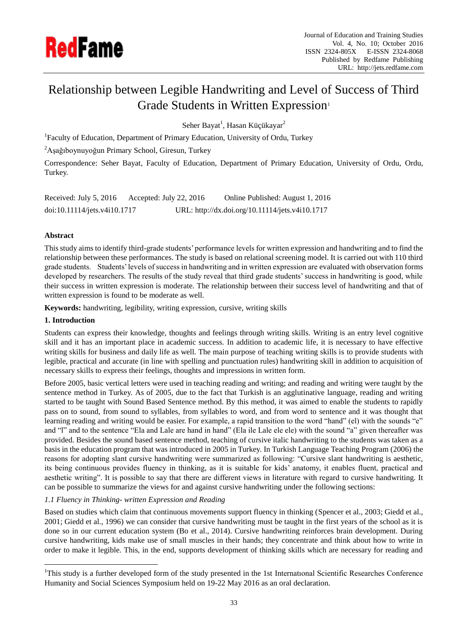

# Relationship between Legible Handwriting and Level of Success of Third Grade Students in Written Expression<sup>1</sup>

Seher Bayat<sup>1</sup>, Hasan Küçükayar<sup>2</sup>

<sup>1</sup>Faculty of Education, Department of Primary Education, University of Ordu, Turkey

 $2A$ şağıboynuyoğun Primary School, Giresun, Turkey

Correspondence: Seher Bayat, Faculty of Education, Department of Primary Education, University of Ordu, Ordu, Turkey.

Received: July 5, 2016 Accepted: July 22, 2016 Online Published: August 1, 2016 doi:10.11114/jets.v4i10.1717 URL: http://dx.doi.org/10.11114/jets.v4i10.1717

## **Abstract**

This study aims to identify third-grade students' performance levels for written expression and handwriting and to find the relationship between these performances. The study is based on relational screening model. It is carried out with 110 third grade students. Students' levels of success in handwriting and in written expression are evaluated with observation forms developed by researchers. The results of the study reveal that third grade students' success in handwriting is good, while their success in written expression is moderate. The relationship between their success level of handwriting and that of written expression is found to be moderate as well.

**Keywords:** handwriting, legibility, writing expression, cursive, writing skills

## **1. Introduction**

<u>.</u>

Students can express their knowledge, thoughts and feelings through writing skills. Writing is an entry level cognitive skill and it has an important place in academic success. In addition to academic life, it is necessary to have effective writing skills for business and daily life as well. The main purpose of teaching writing skills is to provide students with legible, practical and accurate (in line with spelling and punctuation rules) handwriting skill in addition to acquisition of necessary skills to express their feelings, thoughts and impressions in written form.

Before 2005, basic vertical letters were used in teaching reading and writing; and reading and writing were taught by the sentence method in Turkey. As of 2005, due to the fact that Turkish is an agglutinative language, reading and writing started to be taught with Sound Based Sentence method. By this method, it was aimed to enable the students to rapidly pass on to sound, from sound to syllables, from syllables to word, and from word to sentence and it was thought that learning reading and writing would be easier. For example, a rapid transition to the word "hand" (el) with the sounds "e" and "l" and to the sentence "Ela and Lale are hand in hand" (Ela ile Lale ele ele) with the sound "a" given thereafter was provided. Besides the sound based sentence method, teaching of cursive italic handwriting to the students was taken as a basis in the education program that was introduced in 2005 in Turkey. In Turkish Language Teaching Program (2006) the reasons for adopting slant cursive handwriting were summarized as following: "Cursive slant handwriting is aesthetic, its being continuous provides fluency in thinking, as it is suitable for kids' anatomy, it enables fluent, practical and aesthetic writing". It is possible to say that there are different views in literature with regard to cursive handwriting. It can be possible to summarize the views for and against cursive handwriting under the following sections:

## *1.1 Fluency in Thinking- written Expression and Reading*

Based on studies which claim that continuous movements support fluency in thinking (Spencer et al., 2003; Giedd et al., 2001; Giedd et al., 1996) we can consider that cursive handwriting must be taught in the first years of the school as it is done so in our current education system (Bo et al., 2014). Cursive handwriting reinforces brain development. During cursive handwriting, kids make use of small muscles in their hands; they concentrate and think about how to write in order to make it legible. This, in the end, supports development of thinking skills which are necessary for reading and

<sup>&</sup>lt;sup>1</sup>This study is a further developed form of the study presented in the 1st International Scientific Researches Conference Humanity and Social Sciences Symposium held on 19-22 May 2016 as an oral declaration.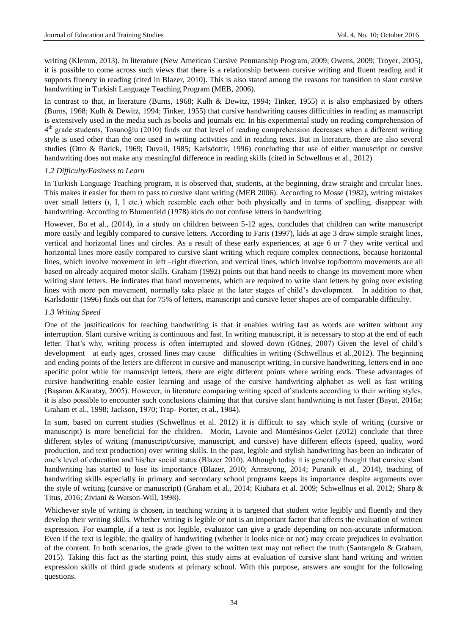writing (Klemm, 2013). In literature (New American Cursive Penmanship Program, 2009; Owens, 2009; Troyer, 2005), it is possible to come across such views that there is a relationship between cursive writing and fluent reading and it supports fluency in reading (cited in Blazer, 2010). This is also stated among the reasons for transition to slant cursive handwriting in Turkish Language Teaching Program (MEB, 2006).

In contrast to that, in literature (Burns, 1968; Kulh & Dewitz, 1994; Tinker, 1955) it is also emphasized by others (Burns, 1968; Kulh & Dewitz, 1994; Tinker, 1955) that cursive handwriting causes difficulties in reading as manuscript is extensively used in the media such as books and journals etc. In his experimental study on reading comprehension of  $4<sup>th</sup>$  grade students, Tosunoğlu (2010) finds out that level of reading comprehension decreases when a different writing style is used other than the one used in writing activities and in reading texts. But in literature, there are also several studies (Otto & Rarick, 1969; Duvall, 1985; Karlsdottir, 1996) concluding that use of either manuscript or cursive handwriting does not make any meaningful difference in reading skills (cited in Schwellnus et al., 2012)

#### *1.2 Difficulty/Easiness to Learn*

In Turkish Language Teaching program, it is observed that, students, at the beginning, draw straight and circular lines. This makes it easier for them to pass to cursive slant writing (MEB 2006). According to Mosse (1982), writing mistakes over small letters (ı, I, l etc.) which resemble each other both physically and in terms of spelling, disappear with handwriting. According to Blumenfeld (1978) kids do not confuse letters in handwriting.

However, Bo et al., (2014), in a study on children between 5-12 ages, concludes that children can write manuscript more easily and legibly compared to cursive letters. According to Faris (1997), kids at age 3 draw simple straight lines, vertical and horizontal lines and circles. As a result of these early experiences, at age 6 or 7 they write vertical and horizontal lines more easily compared to cursive slant writing which require complex connections, because horizontal lines, which involve movement in left –right direction, and vertical lines, which involve top/bottom movements are all based on already acquired motor skills. Graham (1992) points out that hand needs to change its movement more when writing slant letters. He indicates that hand movements, which are required to write slant letters by going over existing lines with more pen movement, normally take place at the later stages of child's development. In addition to that, Karlsdottir (1996) finds out that for 75% of letters, manuscript and cursive letter shapes are of comparable difficulty.

#### *1.3 Writing Speed*

One of the justifications for teaching handwriting is that it enables writing fast as words are written without any interruption. Slant cursive writing is continuous and fast. In writing manuscript, it is necessary to stop at the end of each letter. That's why, writing process is often interrupted and slowed down (Güneş, 2007) Given the level of child's development at early ages, crossed lines may cause difficulties in writing (Schwellnus et al.,2012). The beginning and ending points of the letters are different in cursive and manuscript writing. In cursive handwriting, letters end in one specific point while for manuscript letters, there are eight different points where writing ends. These advantages of cursive handwriting enable easier learning and usage of the cursive handwriting alphabet as well as fast writing (Başaran &Karatay, 2005). However, in literature comparing writing speed of students according to their writing styles, it is also possible to encounter such conclusions claiming that that cursive slant handwriting is not faster (Bayat, 2016a; Graham et al., 1998; Jackson, 1970; Trap- Porter, et al., 1984).

In sum, based on current studies (Schwellnus et al. 2012) it is difficult to say which style of writing (cursive or manuscript) is more beneficial for the children. Morin, Lavoie and Montésinos-Gelet (2012) conclude that three different styles of writing (manuscript/cursive, manuscript, and cursive) have different effects (speed, quality, word production, and text production) over writing skills. In the past, legible and stylish handwriting has been an indicator of one's level of education and his/her social status (Blazer 2010). Although today it is generally thought that cursive slant handwriting has started to lose its importance (Blazer, 2010; Armstrong, 2014; Puranik et al., 2014), teaching of handwriting skills especially in primary and secondary school programs keeps its importance despite arguments over the style of writing (cursive or manuscript) (Graham et al., 2014; Kiuhara et al. 2009; Schwellnus et al. 2012; Sharp & Titus, 2016; Ziviani & Watson-Will, 1998).

Whichever style of writing is chosen, in teaching writing it is targeted that student write legibly and fluently and they develop their writing skills. Whether writing is legible or not is an important factor that affects the evaluation of written expression. For example, if a text is not legible, evaluator can give a grade depending on non-accurate information. Even if the text is legible, the quality of handwriting (whether it looks nice or not) may create prejudices in evaluation of the content. In both scenarios, the grade given to the written text may not reflect the truth (Santangelo & Graham, 2015). Taking this fact as the starting point, this study aims at evaluation of cursive slant hand writing and written expression skills of third grade students at primary school. With this purpose, answers are sought for the following questions.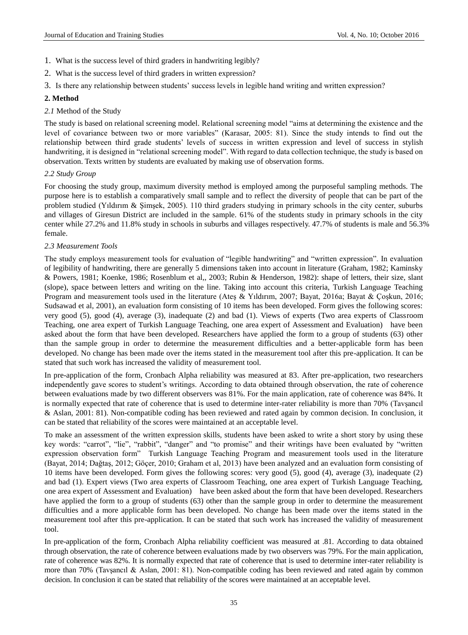- 1. What is the success level of third graders in handwriting legibly?
- 2. What is the success level of third graders in written expression?
- 3. Is there any relationship between students' success levels in legible hand writing and written expression?

### **2. Method**

#### *2.1* Method of the Study

The study is based on relational screening model. Relational screening model "aims at determining the existence and the level of covariance between two or more variables" (Karasar, 2005: 81). Since the study intends to find out the relationship between third grade students' levels of success in written expression and level of success in stylish handwriting, it is designed in "relational screening model". With regard to data collection technique, the study is based on observation. Texts written by students are evaluated by making use of observation forms.

#### *2.2 Study Group*

For choosing the study group, maximum diversity method is employed among the purposeful sampling methods. The purpose here is to establish a comparatively small sample and to reflect the diversity of people that can be part of the problem studied (Yıldırım & Şimşek, 2005). 110 third graders studying in primary schools in the city center, suburbs and villages of Giresun District are included in the sample. 61% of the students study in primary schools in the city center while 27.2% and 11.8% study in schools in suburbs and villages respectively. 47.7% of students is male and 56.3% female.

#### *2.3 Measurement Tools*

The study employs measurement tools for evaluation of "legible handwriting" and "written expression". In evaluation of legibility of handwriting, there are generally 5 dimensions taken into account in literature (Graham, 1982; Kaminsky & Powers, 1981; Koenke, 1986; Rosenblum et al,, 2003; Rubin & Henderson, 1982): shape of letters, their size, slant (slope), space between letters and writing on the line. Taking into account this criteria, Turkish Language Teaching Program and measurement tools used in the literature (Ateş & Yıldırım, 2007; Bayat, 2016a; Bayat & Çoşkun, 2016; Sudsawad et al, 2001), an evaluation form consisting of 10 items has been developed. Form gives the following scores: very good (5), good (4), average (3), inadequate (2) and bad (1). Views of experts (Two area experts of Classroom Teaching, one area expert of Turkish Language Teaching, one area expert of Assessment and Evaluation) have been asked about the form that have been developed. Researchers have applied the form to a group of students (63) other than the sample group in order to determine the measurement difficulties and a better-applicable form has been developed. No change has been made over the items stated in the measurement tool after this pre-application. It can be stated that such work has increased the validity of measurement tool.

In pre-application of the form, Cronbach Alpha reliability was measured at 83. After pre-application, two researchers independently gave scores to student's writings. According to data obtained through observation, the rate of coherence between evaluations made by two different observers was 81%. For the main application, rate of coherence was 84%. It is normally expected that rate of coherence that is used to determine inter-rater reliability is more than 70% (Tavşancıl & Aslan, 2001: 81). Non-compatible coding has been reviewed and rated again by common decision. In conclusion, it can be stated that reliability of the scores were maintained at an acceptable level.

To make an assessment of the written expression skills, students have been asked to write a short story by using these key words: "carrot", "lie", "rabbit", "danger" and "to promise" and their writings have been evaluated by "written expression observation form" Turkish Language Teaching Program and measurement tools used in the literature (Bayat, 2014; Dağtaş, 2012; Göçer, 2010; Graham et al, 2013) have been analyzed and an evaluation form consisting of 10 items have been developed. Form gives the following scores: very good (5), good (4), average (3), inadequate (2) and bad (1). Expert views (Two area experts of Classroom Teaching, one area expert of Turkish Language Teaching, one area expert of Assessment and Evaluation) have been asked about the form that have been developed. Researchers have applied the form to a group of students (63) other than the sample group in order to determine the measurement difficulties and a more applicable form has been developed. No change has been made over the items stated in the measurement tool after this pre-application. It can be stated that such work has increased the validity of measurement tool.

In pre-application of the form, Cronbach Alpha reliability coefficient was measured at .81. According to data obtained through observation, the rate of coherence between evaluations made by two observers was 79%. For the main application, rate of coherence was 82%. It is normally expected that rate of coherence that is used to determine inter-rater reliability is more than 70% (Tavşancıl & Aslan, 2001: 81). Non-compatible coding has been reviewed and rated again by common decision. In conclusion it can be stated that reliability of the scores were maintained at an acceptable level.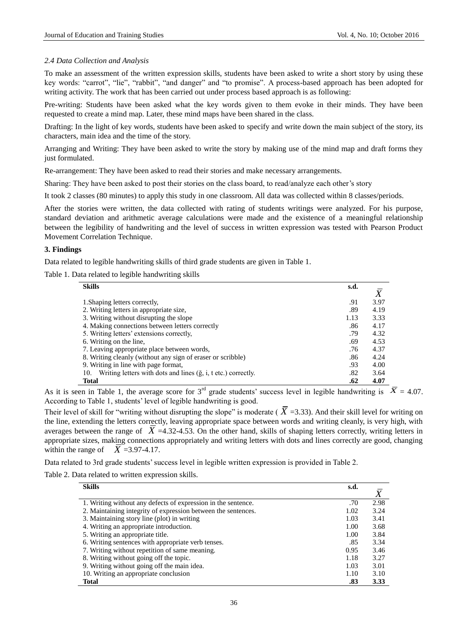### *2.4 Data Collection and Analysis*

To make an assessment of the written expression skills, students have been asked to write a short story by using these key words: "carrot", "lie", "rabbit", "and danger" and "to promise". A process-based approach has been adopted for writing activity. The work that has been carried out under process based approach is as following:

Pre-writing: Students have been asked what the key words given to them evoke in their minds. They have been requested to create a mind map. Later, these mind maps have been shared in the class.

Drafting: In the light of key words, students have been asked to specify and write down the main subject of the story, its characters, main idea and the time of the story.

Arranging and Writing: They have been asked to write the story by making use of the mind map and draft forms they just formulated.

Re-arrangement: They have been asked to read their stories and make necessary arrangements.

Sharing: They have been asked to post their stories on the class board, to read/analyze each other's story

It took 2 classes (80 minutes) to apply this study in one classroom. All data was collected within 8 classes/periods.

After the stories were written, the data collected with rating of students writings were analyzed. For his purpose, standard deviation and arithmetic average calculations were made and the existence of a meaningful relationship between the legibility of handwriting and the level of success in written expression was tested with Pearson Product Movement Correlation Technique.

#### **3. Findings**

Data related to legible handwriting skills of third grade students are given in Table 1.

Table 1. Data related to legible handwriting skills

| <b>Skills</b>                                                                 | s.d. |      |
|-------------------------------------------------------------------------------|------|------|
|                                                                               |      | X    |
| 1. Shaping letters correctly,                                                 | .91  | 3.97 |
| 2. Writing letters in appropriate size,                                       | .89  | 4.19 |
| 3. Writing without disrupting the slope                                       | 1.13 | 3.33 |
| 4. Making connections between letters correctly                               | .86  | 4.17 |
| 5. Writing letters' extensions correctly,                                     | .79  | 4.32 |
| 6. Writing on the line,                                                       | .69  | 4.53 |
| 7. Leaving appropriate place between words,                                   | .76  | 4.37 |
| 8. Writing cleanly (without any sign of eraser or scribble)                   | .86  | 4.24 |
| 9. Writing in line with page format,                                          | .93  | 4.00 |
| 10. Writing letters with dots and lines ( $\check{g}$ , i, t etc.) correctly. | .82  | 3.64 |
| <b>Total</b>                                                                  | .62  | 4.07 |

As it is seen in Table 1, the average score for 3<sup>rd</sup> grade students' success level in legible handwriting is  $\overline{X} = 4.07$ . According to Table 1, students' level of legible handwriting is good.

Their level of skill for "writing without disrupting the slope" is moderate ( $\overline{X}$  =3.33). And their skill level for writing on the line, extending the letters correctly, leaving appropriate space between words and writing cleanly, is very high, with averages between the range of  $\overline{X}$  =4.32-4.53. On the other hand, skills of shaping letters correctly, writing letters in appropriate sizes, making connections appropriately and writing letters with dots and lines correctly are good, changing within the range of  $\overline{X}$  =3.97-4.17.

Data related to 3rd grade students' success level in legible written expression is provided in Table 2.

Table 2. Data related to written expression skills.

| <b>Skills</b>                                                 | s.d. |      |
|---------------------------------------------------------------|------|------|
|                                                               |      | X    |
| 1. Writing without any defects of expression in the sentence. | .70  | 2.98 |
| 2. Maintaining integrity of expression between the sentences. | 1.02 | 3.24 |
| 3. Maintaining story line (plot) in writing                   | 1.03 | 3.41 |
| 4. Writing an appropriate introduction.                       | 1.00 | 3.68 |
| 5. Writing an appropriate title.                              | 1.00 | 3.84 |
| 6. Writing sentences with appropriate verb tenses.            | .85  | 3.34 |
| 7. Writing without repetition of same meaning.                | 0.95 | 3.46 |
| 8. Writing without going off the topic.                       | 1.18 | 3.27 |
| 9. Writing without going off the main idea.                   | 1.03 | 3.01 |
| 10. Writing an appropriate conclusion                         | 1.10 | 3.10 |
| <b>Total</b>                                                  | .83  | 3.33 |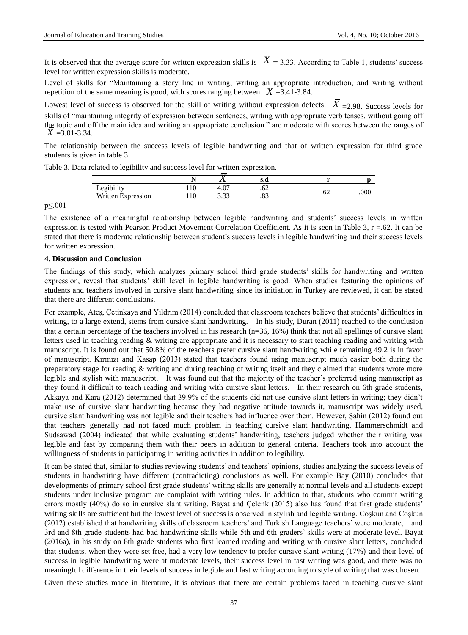It is observed that the average score for written expression skills is  $\bar{X} = 3.33$ . According to Table 1, students' success level for written expression skills is moderate.

Level of skills for "Maintaining a story line in writing, writing an appropriate introduction, and writing without repetition of the same meaning is good, with scores ranging between  $\overline{X}$  =3.41-3.84.

Lowest level of success is observed for the skill of writing without expression defects:  $\overline{X}$  =2.98. Success levels for skills of "maintaining integrity of expression between sentences, writing with appropriate verb tenses, without going off the topic and off the main idea and writing an appropriate conclusion." are moderate with scores between the ranges of  $\overline{X}$  =3.01-3.34.

The relationship between the success levels of legible handwriting and that of written expression for third grade students is given in table 3.

Table 3. Data related to legibility and success level for written expression.

| <br>$\alpha$ $\alpha$   |       | $\Omega$<br>т. о | $\sim$  | ے ت | .000 |
|-------------------------|-------|------------------|---------|-----|------|
| Written .<br>Expression | 1 1 V | 22<br>.          | $\cdot$ |     |      |

p≤.001

The existence of a meaningful relationship between legible handwriting and students' success levels in written expression is tested with Pearson Product Movement Correlation Coefficient. As it is seen in Table 3, r =.62. It can be stated that there is moderate relationship between student's success levels in legible handwriting and their success levels for written expression.

## **4. Discussion and Conclusion**

The findings of this study, which analyzes primary school third grade students' skills for handwriting and written expression, reveal that students' skill level in legible handwriting is good. When studies featuring the opinions of students and teachers involved in cursive slant handwriting since its initiation in Turkey are reviewed, it can be stated that there are different conclusions.

For example, Ateş, Çetinkaya and Yıldrım (2014) concluded that classroom teachers believe that students' difficulties in writing, to a large extend, stems from cursive slant handwriting. In his study, Duran (2011) reached to the conclusion that a certain percentage of the teachers involved in his research (n=36, 16%) think that not all spellings of cursive slant letters used in teaching reading & writing are appropriate and it is necessary to start teaching reading and writing with manuscript. It is found out that 50.8% of the teachers prefer cursive slant handwriting while remaining 49.2 is in favor of manuscript. Kırmızı and Kasap (2013) stated that teachers found using manuscript much easier both during the preparatory stage for reading & writing and during teaching of writing itself and they claimed that students wrote more legible and stylish with manuscript. It was found out that the majority of the teacher's preferred using manuscript as they found it difficult to teach reading and writing with cursive slant letters. In their research on 6th grade students, Akkaya and Kara (2012) determined that 39.9% of the students did not use cursive slant letters in writing; they didn't make use of cursive slant handwriting because they had negative attitude towards it, manuscript was widely used, cursive slant handwriting was not legible and their teachers had influence over them. However, Şahin (2012) found out that teachers generally had not faced much problem in teaching cursive slant handwriting. Hammerschmidt and Sudsawad (2004) indicated that while evaluating students' handwriting, teachers judged whether their writing was legible and fast by comparing them with their peers in addition to general criteria. Teachers took into account the willingness of students in participating in writing activities in addition to legibility.

It can be stated that, similar to studies reviewing students' and teachers' opinions, studies analyzing the success levels of students in handwriting have different (contradicting) conclusions as well. For example Bay (2010) concludes that developments of primary school first grade students' writing skills are generally at normal levels and all students except students under inclusive program are complaint with writing rules. In addition to that, students who commit writing errors mostly (40%) do so in cursive slant writing. Bayat and Çelenk (2015) also has found that first grade students' writing skills are sufficient but the lowest level of success is observed in stylish and legible writing. Coşkun and Coşkun (2012) established that handwriting skills of classroom teachers' and Turkish Language teachers' were moderate, and 3rd and 8th grade students had bad handwriting skills while 5th and 6th graders' skills were at moderate level. Bayat (2016a), in his study on 8th grade students who first learned reading and writing with cursive slant letters, concluded that students, when they were set free, had a very low tendency to prefer cursive slant writing (17%) and their level of success in legible handwriting were at moderate levels, their success level in fast writing was good, and there was no meaningful difference in their levels of success in legible and fast writing according to style of writing that was chosen.

Given these studies made in literature, it is obvious that there are certain problems faced in teaching cursive slant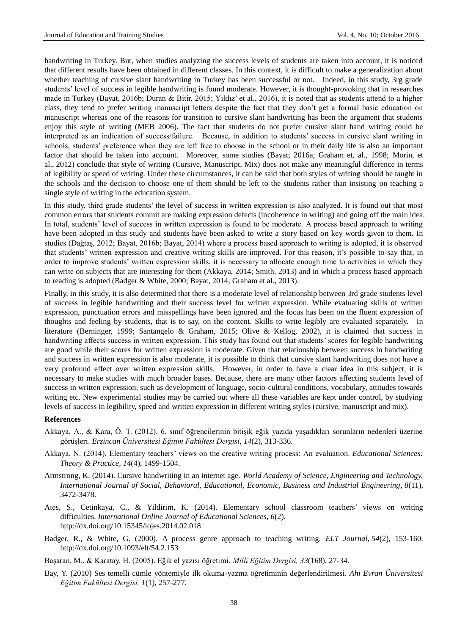handwriting in Turkey. But, when studies analyzing the success levels of students are taken into account, it is noticed that different results have been obtained in different classes. In this context, it is difficult to make a generalization about whether teaching of cursive slant handwriting in Turkey has been successful or not. Indeed, in this study, 3rg grade students' level of success in legible handwriting is found moderate. However, it is thought-provoking that in researches made in Turkey (Bayat, 2016b; Duran & Bitir, 2015; Yıldız' et al., 2016), it is noted that as students attend to a higher class, they tend to prefer writing manuscript letters despite the fact that they don't get a formal basic education on manuscript whereas one of the reasons for transition to cursive slant handwriting has been the argument that students enjoy this style of writing (MEB 2006). The fact that students do not prefer cursive slant hand writing could be interpreted as an indication of success/failure. Because, in addition to students' success in cursive slant writing in schools, students' preference when they are left free to choose in the school or in their daily life is also an important factor that should be taken into account. Moreover, some studies (Bayat; 2016a; Graham et, al., 1998; Morin, et al., 2012) conclude that style of writing (Cursive, Manuscript, Mix) does not make any meaningful difference in terms of legibility or speed of writing. Under these circumstances, it can be said that both styles of writing should be taught in the schools and the decision to choose one of them should be left to the students rather than insisting on teaching a single style of writing in the education system.

In this study, third grade students' the level of success in written expression is also analyzed. It is found out that most common errors that students commit are making expression defects (incoherence in writing) and going off the main idea. In total, students' level of success in written expression is found to be moderate. A process based approach to writing have been adopted in this study and students have been asked to write a story based on key words given to them. In studies (Dağtaş, 2012; Bayat, 2016b; Bayat, 2014) where a process based approach to writing is adopted, it is observed that students' written expression and creative writing skills are improved. For this reason, it's possible to say that, in order to improve students' written expression skills, it is necessary to allocate enough time to activities in which they can write on subjects that are interesting for them (Akkaya, 2014; Smith, 2013) and in which a process based approach to reading is adopted (Badger & White, 2000; Bayat, 2014; Graham et al., 2013).

Finally, in this study, it is also determined that there is a moderate level of relationship between 3rd grade students level of success in legible handwriting and their success level for written expression. While evaluating skills of written expression, punctuation errors and misspellings have been ignored and the focus has been on the fluent expression of thoughts and feeling by students, that is to say, on the content. Skills to write legibly are evaluated separately. In literature (Berninger, 1999; Santangelo & Graham, 2015; Olive & Kellog, 2002), it is claimed that success in handwriting affects success in written expression. This study has found out that students' scores for legible handwriting are good while their scores for written expression is moderate. Given that relationship between success in handwriting and success in written expression is also moderate, it is possible to think that cursive slant handwriting does not have a very profound effect over written expression skills. However, in order to have a clear idea in this subject, it is necessary to make studies with much broader bases. Because, there are many other factors affecting students level of success in written expression, such as development of language, socio-cultural conditions, vocabulary, attitudes towards writing etc. New experimental studies may be carried out where all these variables are kept under control, by studying levels of success in legibility, speed and written expression in different writing styles (cursive, manuscript and mix).

#### **References**

- Akkaya, A., & Kara, Ö. T. (2012). 6. sınıf öğrencilerinin bitişik eğik yazıda yaşadıkları sorunların nedenleri üzerine görüşleri. *Erzincan Üniversitesi Eğitim Fakültesi Dergisi*, *14*(2), 313-336.
- Akkaya, N. (2014). Elementary teachers' views on the creative writing process: An evaluation. *Educational Sciences: Theory & Practice, 14*(4), 1499-1504.
- Armstrong, K. (2014). Cursive handwriting in an internet age. *World Academy of Science, Engineering and Technology, International Journal of Social, Behavioral, Educational, Economic, Business and Industrial Engineering*, *8*(11), 3472-3478.
- Ates, S., Cetinkaya, C., & Yildirim, K. (2014). Elementary school classroom teachers' views on writing difficulties. *International Online Journal of Educational Sciences, 6*(2). <http://dx.doi.org/10.15345/iojes.2014.02.018>
- Badger, R., & White, G. (2000). A process genre approach to teaching writing. *ELT Journal, 54*(2), 153-160. <http://dx.doi.org/10.1093/elt/54.2.153>
- Başaran, M., & Karatay, H. (2005). Eğik el yazısı öğretimi. *Millî Eğitim Dergisi, 33*(168), 27-34.
- Bay, Y. (2010) Ses temelli cümle yöntemiyle ilk okuma-yazma öğretiminin değerlendirilmesi. *Ahi Evran Üniversitesi Eğitim Fakültesi Dergisi, 1*(1), 257-277.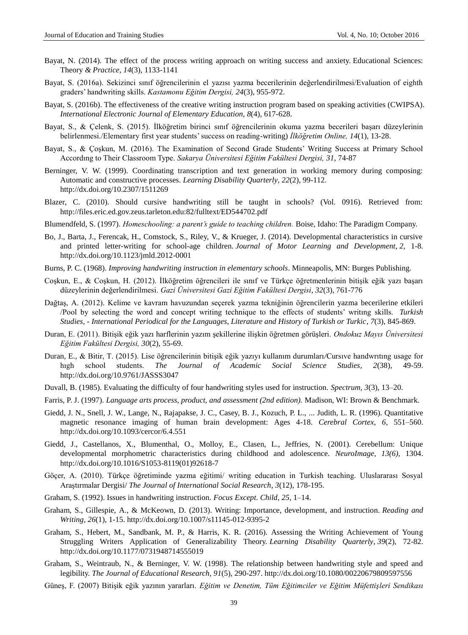- Bayat, N. (2014). The effect of the process writing approach on writing success and anxiety. Educational Sciences: Theory *& Practice, 14*(3), 1133-1141
- Bayat, S. (2016a). Sekizinci sınıf öğrencilerinin el yazısı yazma becerilerinin değerlendirilmesi/Evaluation of eighth graders' handwriting skills. *Kastamonu Eğitim Dergisi, 24*(3), 955-972.
- Bayat, S. (2016b). The effectiveness of the creative writing instruction program based on speaking activities (CWIPSA). *International Electronic Journal of Elementary Education, 8*(4), 617-628.
- Bayat, S., & Çelenk, S. (2015). İlköğretim birinci sınıf öğrencilerinin okuma yazma becerileri başarı düzeylerinin belirlenmesi./Elementary first year students' success on reading-writing) *İlköğretim Online, 14*(1), 13-28.
- Bayat, S., & Çoşkun, M. (2016). The Examination of Second Grade Students' Writing Success at Primary School Accordıng to Their Classroom Type. *Sakarya Üniversitesi Eğitim Fakültesi Dergisi, 31*, 74-87
- Berninger, V. W. (1999). Coordinating transcription and text generation in working memory during composing: Automatic and constructive processes. *Learning Disability Quarterly*, *22*(2), 99-112. <http://dx.doi.org/10.2307/1511269>
- Blazer, C. (2010). Should cursive handwriting still be taught in schools? (Vol. 0916). Retrieved from: http://files.eric.ed.gov.zeus.tarleton.edu:82/fulltext/ED544702.pdf
- Blumendfeld, S. (1997). *Homeschooling: a parent's guide to teaching children.* Boise, Idaho: The Paradigm Company.
- Bo, J., Barta, J., Ferencak, H., Comstock, S., Riley, V., & Krueger, J. (2014). Developmental characteristics in cursive and printed letter-writing for school-age children. *Journal of Motor Learning and Development, 2*, 1-8. <http://dx.doi.org/10.1123/jmld.2012-0001>
- Burns, P. C. (1968). *Improving handwriting instruction in elementary schools*. Minneapolis, MN: Burges Publishing.
- Coşkun, E., & Coşkun, H. (2012). İlköğretim öğrencileri ile sınıf ve Türkçe öğretmenlerinin bitişik eğik yazı başarı düzeylerinin değerlendirilmesi. *Gazi Üniversitesi Gazi Eğitim Fakültesi Dergisi*, *32*(3), 761-776
- Dağtaş, A. (2012). Kelime ve kavram havuzundan seçerek yazma tekniğinin öğrencilerin yazma becerilerine etkileri /Pool by selecting the word and concept writing technique to the effects of students' writıng skills. *Turkish Studies, - International Periodical for the Languages, Literature and History of Turkish or Turkic*, *7*(3), 845-869.
- Duran, E. (2011). Bitişik eğik yazı harflerinin yazım şekillerine ilişkin öğretmen görüşleri. *Ondokuz Mayıs Üniversitesi Eğitim Fakültesi Dergisi, 30*(2), 55-69.
- Duran, E., & Bitir, T. (2015). Lise öğrencilerinin bitişik eğik yazıyı kullanım durumları*/*Cursıve handwrıtıng usage for hıgh school students. *The Journal of Academic Social Science Studies, 2*(38), 49-59. <http://dx.doi.org/10.9761/JASSS3047>
- Duvall, B. (1985). Evaluating the difficulty of four handwriting styles used for instruction. *Spectrum, 3*(3), 13–20.
- Farris, P. J. (1997). *Language arts process, product, and assessment (2nd edition).* Madison, WI: Brown & Benchmark.
- Giedd, J. N., Snell, J. W., Lange, N., Rajapakse, J. C., Casey, B. J., Kozuch, P. L., ... Judith, L. R. (1996). Quantitative magnetic resonance imaging of human brain development: Ages 4-18. *Cerebral Cortex, 6*, 551–560. <http://dx.doi.org/10.1093/cercor/6.4.551>
- Giedd, J., Castellanos, X., Blumenthal, O., Molloy, E., Clasen, L., Jeffries, N. (2001). Cerebellum: Unique developmental morphometric characteristics during childhood and adolescence. *NeuroImage, 13(6),* 1304. [http://dx.doi.org/10.1016/S1053-8119\(01\)92618-7](http://dx.doi.org/10.1016/S1053-8119%2801%2992618-7)
- Göçer, A. (2010). Türkçe öğretiminde yazma eğitimi/ writing education in Turkish teaching. Uluslararası Sosyal Araştırmalar Dergisi/ *The Journal of International Social Research*, *3*(12), 178-195.
- Graham, S. (1992). Issues in handwriting instruction. *Focus Except. Child, 25*, 1–14.
- Graham, S., Gillespie, A., & McKeown, D. (2013). Writing: Importance, development, and instruction*. Reading and Writing, 26*(1), 1-15. <http://dx.doi.org/10.1007/s11145-012-9395-2>
- Graham, S., Hebert, M., Sandbank, M. P., & Harris, K. R. (2016). Assessing the Writing Achievement of Young Struggling Writers Application of Generalizability Theory. *Learning Disability Quarterly*, *39*(2), 72-82. <http://dx.doi.org/10.1177/0731948714555019>
- Graham, S., Weintraub, N., & Berninger, V. W. (1998). The relationship between handwriting style and speed and legibility. *The Journal of Educational Research, 91*(5), 290-297. <http://dx.doi.org/10.1080/00220679809597556>
- Güneş, F. (2007) Bitişik eğik yazının yararları. *Eğitim ve Denetim, Tüm Eğitimciler ve Eğitim Müfettişleri Sendikası*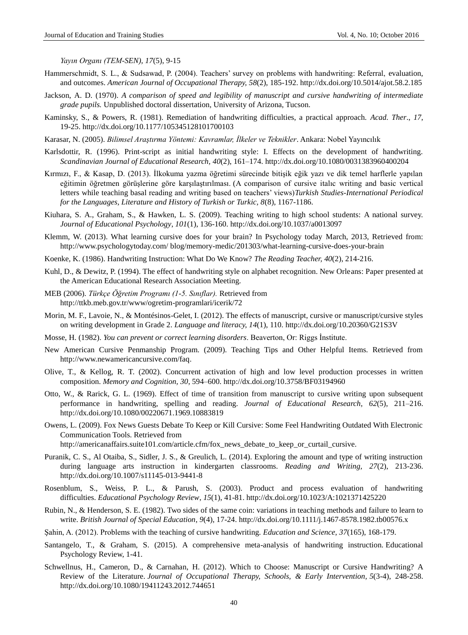*Yayın Organı (TEM-SEN), 17*(5), 9-15

- Hammerschmidt, S. L., & Sudsawad, P. (2004). Teachers' survey on problems with handwriting: Referral, evaluation, and outcomes. *American Journal of Occupational Therapy, 58*(2), 185-192. <http://dx.doi.org/10.5014/ajot.58.2.185>
- Jackson, A. D. (1970). *A comparison of speed and legibility of manuscript and cursive handwriting of intermediate grade pupils.* Unpublished doctoral dissertation, University of Arizona, Tucson.
- Kaminsky, S., & Powers, R. (1981). Remediation of handwriting difficulties, a practical approach. *Acad. Ther*., *17*, 19-25. <http://dx.doi.org/10.1177/105345128101700103>
- Karasar, N. (2005). *Bilimsel Araştırma Yöntemi: Kavramlar, İlkeler ve Teknikler*. Ankara: Nobel Yayıncılık
- Karlsdottir, R. (1996). Print-script as initial handwriting style: I. Effects on the development of handwriting. *Scandinavian Journal of Educational Research, 40*(2), 161–174. <http://dx.doi.org/10.1080/0031383960400204>
- Kırmızı, F., & Kasap, D. (2013). İlkokuma yazma öğretimi sürecinde bitişik eğik yazı ve dik temel harflerle yapılan eğitimin öğretmen görüşlerine göre karşılaştırılması. (A comparison of cursive italıc writing and basic vertical letters while teaching basal reading and writing based on teachers' views)*Turkish Studies-International Periodical for the Languages, Literature and History of Turkish or Turkic, 8*(8), 1167-1186.
- Kiuhara, S. A., Graham, S., & Hawken, L. S. (2009). Teaching writing to high school students: A national survey. *Journal of Educational Psychology*, *101*(1), 136-160.<http://dx.doi.org/10.1037/a0013097>
- Klemm, W. (2013). What learning cursive does for your brain? In Psychology today March, 2013, Retrieved from: <http://www.psychologytoday.com/> blog/memory-medic/201303/what-learning-cursive-does-your-brain
- Koenke, K. (1986). Handwriting Instruction: What Do We Know? *The Reading Teacher, 40*(2), 214-216.
- Kuhl, D., & Dewitz, P. (1994). The effect of handwriting style on alphabet recognition. New Orleans: Paper presented at the American Educational Research Association Meeting.
- MEB (2006). *Türkçe Öğretim Programı (1-5. Sınıflar).* Retrieved from http://ttkb.meb.gov.tr/www/ogretim-programlari/icerik/72
- Morin, M. F., Lavoie, N., & Montésinos-Gelet, I. (2012). The effects of manuscript, cursive or manuscript/cursive styles on writing development in Grade 2. *Language and literacy, 14*(1), 110. <http://dx.doi.org/10.20360/G21S3V>
- Mosse, H. (1982). *You can prevent or correct learning disorders*. Beaverton, Or: Riggs İnstitute.
- New American Cursive Penmanship Program. (2009). Teaching Tips and Other Helpful Items. Retrieved from [http://www.newamericancursive.com/faq.](http://www.newamericancursive.com/faq)
- Olive, T., & Kellog, R. T. (2002). Concurrent activation of high and low level production processes in written composition. *Memory and Cognition, 30*, 594–600. <http://dx.doi.org/10.3758/BF03194960>
- Otto, W., & Rarick, G. L. (1969). Effect of time of transition from manuscript to cursive writing upon subsequent performance in handwriting, spelling and reading. *Journal of Educational Research, 62*(5), 211–216. <http://dx.doi.org/10.1080/00220671.1969.10883819>
- Owens, L. (2009). Fox News Guests Debate To Keep or Kill Cursive: Some Feel Handwriting Outdated With Electronic Communication Tools. Retrieved from [http://americanaffairs.suite101.com/article.cfm/f](http://americanaffairs.suite101.com/article.cfm/)ox\_news\_debate\_to\_keep\_or\_curtail\_cursive.
	-
- Puranik, C. S., Al Otaiba, S., Sidler, J. S., & Greulich, L. (2014). Exploring the amount and type of writing instruction during language arts instruction in kindergarten classrooms. *Reading and Writing, 27*(2), 213-236. <http://dx.doi.org/10.1007/s11145-013-9441-8>
- Rosenblum, S., Weiss, P. L., & Parush, S. (2003). Product and process evaluation of handwriting difficulties. *Educational Psychology Review*, *15*(1), 41-81. <http://dx.doi.org/10.1023/A:1021371425220>
- Rubin, N., & Henderson, S. E. (1982). Two sides of the same coin: variations in teaching methods and failure to learn to write. *British Journal of Special Education*, *9*(4), 17-24. <http://dx.doi.org/10.1111/j.1467-8578.1982.tb00576.x>
- Şahin, A. (2012). Problems with the teaching of cursive handwriting. *Education and Science, 37*(165), 168-179.
- Santangelo, T., & Graham, S. (2015). A comprehensive meta-analysis of handwriting instruction. Educational Psychology Review, 1-41.
- Schwellnus, H., Cameron, D., & Carnahan, H. (2012). Which to Choose: Manuscript or Cursive Handwriting? A Review of the Literature. *Journal of Occupational Therapy, Schools, & Early Intervention, 5*(3-4), 248-258. <http://dx.doi.org/10.1080/19411243.2012.744651>